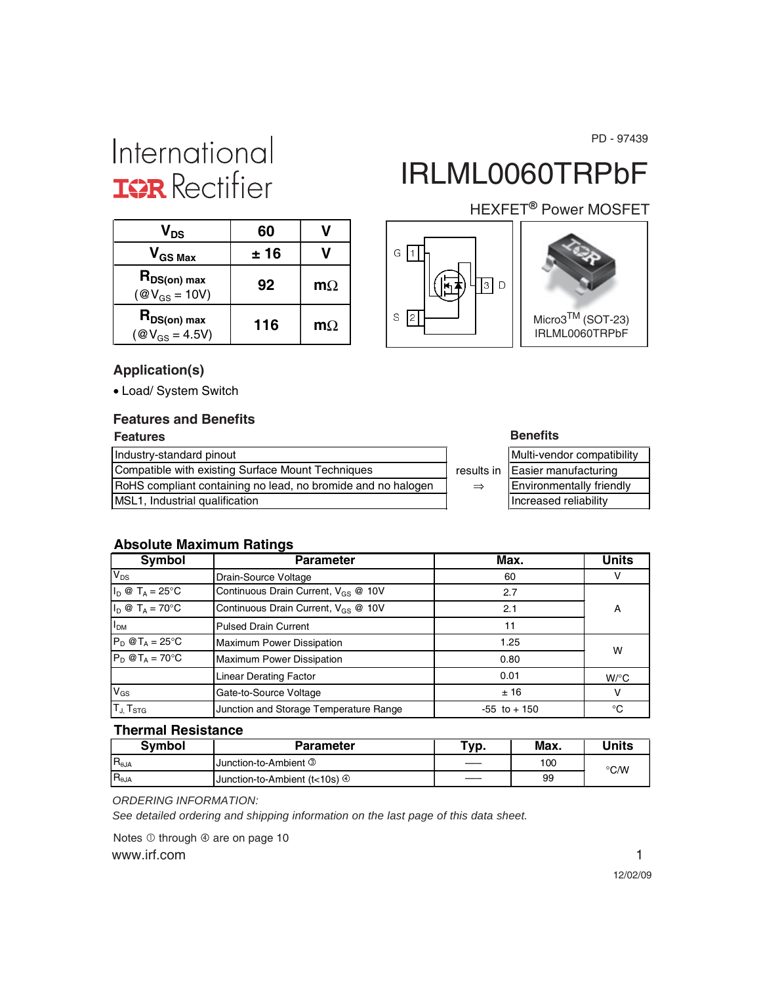PD - 97439

# International **ISR** Rectifier

# IRLML0060TRPbF

### $V_{DS}$  60  $V$  $V_{GS\, Max}$   $\vert$   $\pm 16$   $\vert$  V  $R_{DS(on) max}$  $\begin{array}{c|c}\n\text{PDS(on) max} \\
\textcircled{2}V_{\text{GS}} = 10V\n\end{array}$  92 | m $\Omega$ **RDS(on) max 116 m**Ω<br>( $\textcircled{v}_{\text{GS}}$  = 4.5V) **116 m**Ω





HEXFET<sup>®</sup> Power MOSFET

#### **Application(s)**

• Load/ System Switch

### **Features and Benefits**

#### **Features Benefits** Industry-standard pinout Compatible with existing Surface Mount Techniques **results** results RoHS compliant containing no lead, no bromide and no halogen  $\Rightarrow$ MSL1, Industrial qualification

| еш |  |
|----|--|
|----|--|

|      | Multi-vendor compatibility |
|------|----------------------------|
| s in | Easier manufacturing       |
|      | Environmentally friendly   |
|      | Increased reliability      |
|      |                            |

#### **Absolute Maximum Ratings**

| Symbol                                                | <b>Parameter</b>                                | Max.            | <b>Units</b>       |
|-------------------------------------------------------|-------------------------------------------------|-----------------|--------------------|
| $V_{DS}$                                              | Drain-Source Voltage                            | 60              |                    |
| $I_D \otimes T_A = 25$ °C                             | Continuous Drain Current, V <sub>GS</sub> @ 10V | 2.7             |                    |
| $I_D \otimes T_A = 70^\circ C$                        | Continuous Drain Current, V <sub>GS</sub> @ 10V | 2.1             | А                  |
| I <sub>DM</sub><br><b>Pulsed Drain Current</b>        |                                                 | 11              |                    |
| $P_D @T_A = 25^\circ C$                               | <b>Maximum Power Dissipation</b>                | 1.25            | W                  |
| $P_D @T_A = 70°C$<br><b>Maximum Power Dissipation</b> |                                                 | 0.80            |                    |
| <b>Linear Derating Factor</b>                         |                                                 | 0.01            | $W$ <sup>o</sup> C |
| $V_{GS}$                                              | Gate-to-Source Voltage                          | ±16             | v                  |
| T <sub>J</sub> , T <sub>STG</sub>                     | Junction and Storage Temperature Range          | $-55$ to $+150$ | °C                 |

#### **Thermal Resistance**

| <b>Symbol</b>   | <b>Parameter</b>                          |    | Max. | <b>Jnits</b> |
|-----------------|-------------------------------------------|----|------|--------------|
| $R_{\theta JA}$ | Junction-to-Ambient 3                     |    | 100  | °C/W         |
| $R_{\theta JA}$ | Uunction-to-Ambient (t<10s) $\circled{0}$ | —— | 99   |              |

*ORDERING INFORMATION:*

*See detailed ordering and shipping information on the last page of this data sheet.*

www.irf.com 1 Notes  $\overline{0}$  through  $\overline{0}$  are on page 10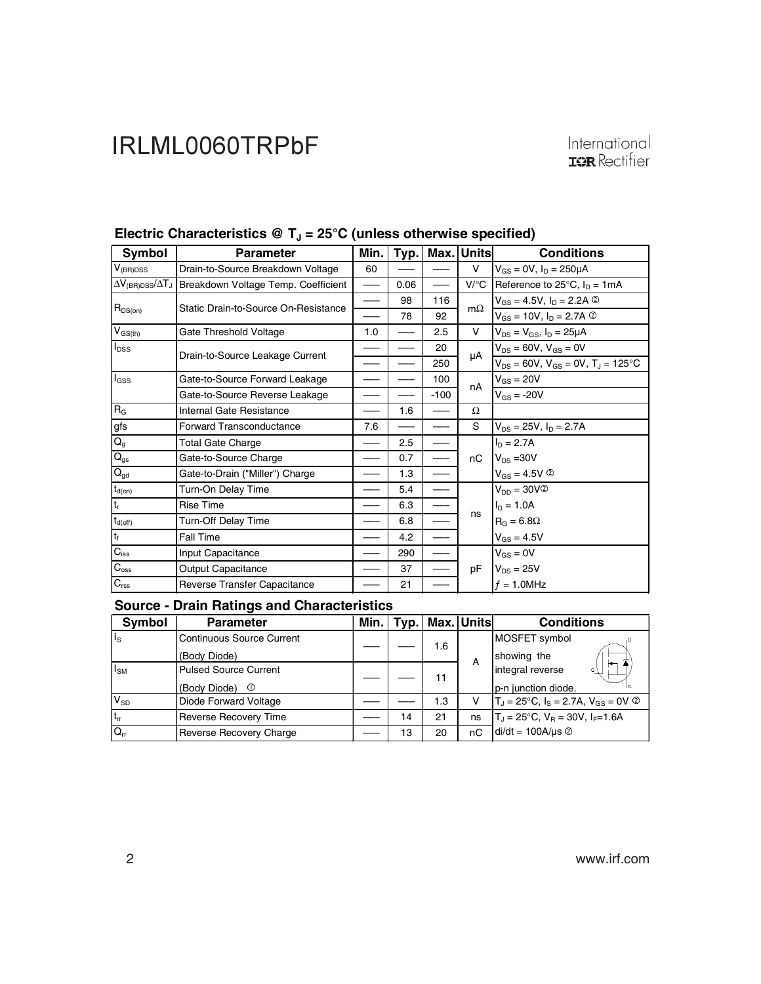| Symbol                                                 | <b>Parameter</b>                     | Min. | Typ. |        | Max. Units                     | <b>Conditions</b>                                |
|--------------------------------------------------------|--------------------------------------|------|------|--------|--------------------------------|--------------------------------------------------|
| $V_{(BR)DSS}$                                          | Drain-to-Source Breakdown Voltage    | 60   |      |        | V                              | $V_{GS} = 0V$ , $I_D = 250 \mu A$                |
| $\Delta\rm {V_{\rm (BR)DSS}/\Delta T_{\rm J}}$ $\vert$ | Breakdown Voltage Temp. Coefficient  |      | 0.06 |        | $V$ <sup>o</sup> C $\parallel$ | Reference to $25^{\circ}$ C, $I_D = 1 \text{mA}$ |
|                                                        | Static Drain-to-Source On-Resistance |      | 98   | 116    | $m\Omega$                      | $V_{GS} = 4.5V$ , $I_D = 2.2A$ 2                 |
| $R_{DS(on)}$                                           |                                      |      | 78   | 92     |                                | $V_{GS}$ = 10V, $I_D$ = 2.7A $\circledcirc$      |
| $V_{GS(th)}$                                           | Gate Threshold Voltage               | 1.0  |      | 2.5    | V                              | $V_{DS} = V_{GS}$ , $I_D = 25 \mu A$             |
| $I_{DSS}$                                              | Drain-to-Source Leakage Current      |      |      | 20     | μA                             | $V_{DS} = 60V$ , $V_{GS} = 0V$                   |
|                                                        |                                      |      |      | 250    |                                | $V_{DS} = 60V$ , $V_{GS} = 0V$ , $T_J = 125$ °C  |
| l <sub>GSS</sub>                                       | Gate-to-Source Forward Leakage       |      |      | 100    | nA                             | $V_{GS} = 20V$                                   |
|                                                        | Gate-to-Source Reverse Leakage       |      |      | $-100$ |                                | $V_{GS} = -20V$                                  |
| $R_G$                                                  | Internal Gate Resistance             |      | 1.6  |        | Ω                              |                                                  |
| gfs                                                    | Forward Transconductance             | 7.6  |      |        | S                              | $V_{DS} = 25V$ , $I_D = 2.7A$                    |
| $\mathsf{Q}_{\mathsf{g}}$                              | Total Gate Charge                    |      | 2.5  |        |                                | $I_D = 2.7A$                                     |
| $\mathsf{Q}_\mathsf{gs}$                               | Gate-to-Source Charge                |      | 0.7  |        | пC                             | $V_{DS} = 30V$                                   |
| $\mathsf{Q}_{\mathsf{gd}}$                             | Gate-to-Drain ("Miller") Charge      |      | 1.3  |        |                                | $V_{GS} = 4.5V$ <sup>②</sup>                     |
| $\mathsf{t}_{\mathsf{d}(\mathsf{on})}$                 | Turn-On Delay Time                   |      | 5.4  |        |                                | $V_{DD} = 30V$ <sup>2</sup>                      |
| $t_r$                                                  | <b>Rise Time</b>                     |      | 6.3  |        |                                | $I_D = 1.0A$                                     |
| $t_{d(off)}$                                           | Turn-Off Delay Time                  |      | 6.8  |        | ns                             | $R_G = 6.8\Omega$                                |
| t <sub>f</sub>                                         | Fall Time                            |      | 4.2  |        |                                | $V_{GS} = 4.5V$                                  |
| $C_{\text{iss}}$                                       | Input Capacitance                    |      | 290  |        |                                | $V_{GS} = 0V$                                    |
| $\mathsf{C}_{\mathrm{oss}}$                            | <b>Output Capacitance</b>            |      | 37   |        | pF                             | $V_{DS} = 25V$                                   |
| $C_{\rm rss}$                                          | Reverse Transfer Capacitance         |      | 21   |        |                                | $f = 1.0$ MHz                                    |

### Electric Characteristics @ T<sub>J</sub> = 25°C (unless otherwise specified)

| Symbol          | <b>Parameter</b>                 |    |     | Min.   Typ.   Max.   Units | <b>Conditions</b>                                    |
|-----------------|----------------------------------|----|-----|----------------------------|------------------------------------------------------|
| $I_{\rm S}$     | <b>Continuous Source Current</b> |    | 1.6 |                            | MOSFET symbol                                        |
|                 | (Body Diode)                     |    |     | A                          | showing the                                          |
| I <sub>SM</sub> | <b>Pulsed Source Current</b>     |    | 11  |                            | ⇤<br>integral reverse<br>G١                          |
|                 | (Body Diode)<br>$\odot$          |    |     |                            | p-n junction diode.                                  |
| $V_{SD}$        | Diode Forward Voltage            |    | 1.3 | v                          | $T_J = 25^{\circ}C$ , $I_S = 2.7A$ , $V_{GS} = 0V$ ② |
| $t_{rr}$        | <b>Reverse Recovery Time</b>     | 14 | 21  | ns                         | $T_J = 25^{\circ}C$ , $V_B = 30V$ , $I_F = 1.6A$     |
| $Q_{rr}$        | Reverse Recovery Charge          | 13 | 20  | пC                         | $di/dt = 100A/\mu s$ <sup>②</sup>                    |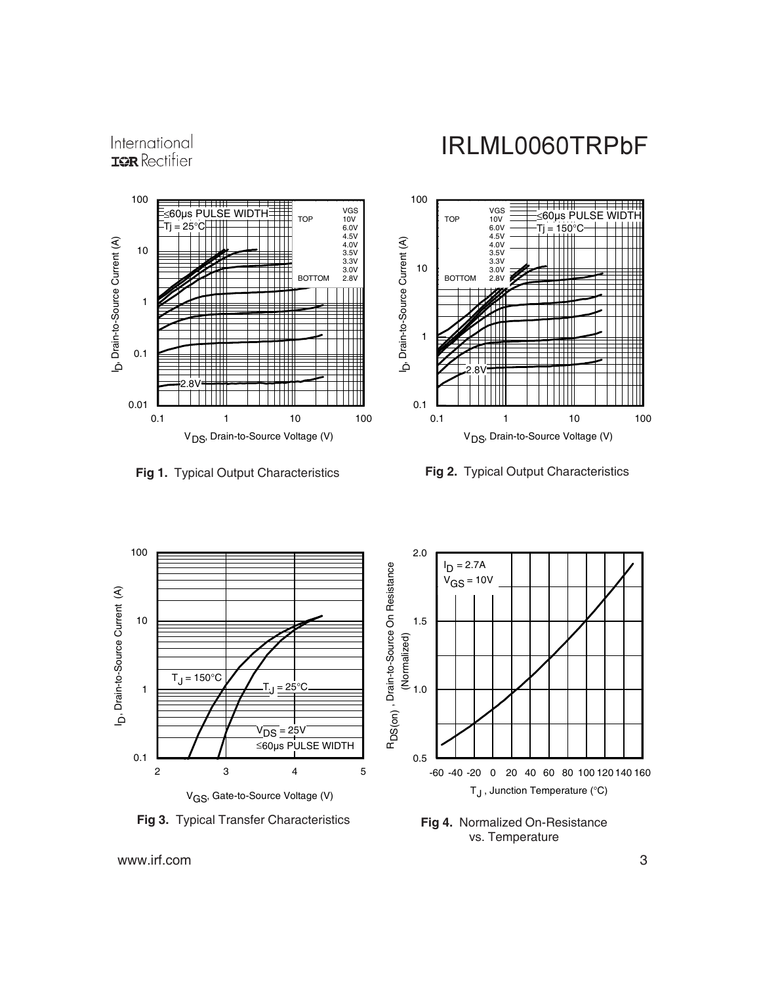International **IOR** Rectifier

### IRLML0060TRPbF











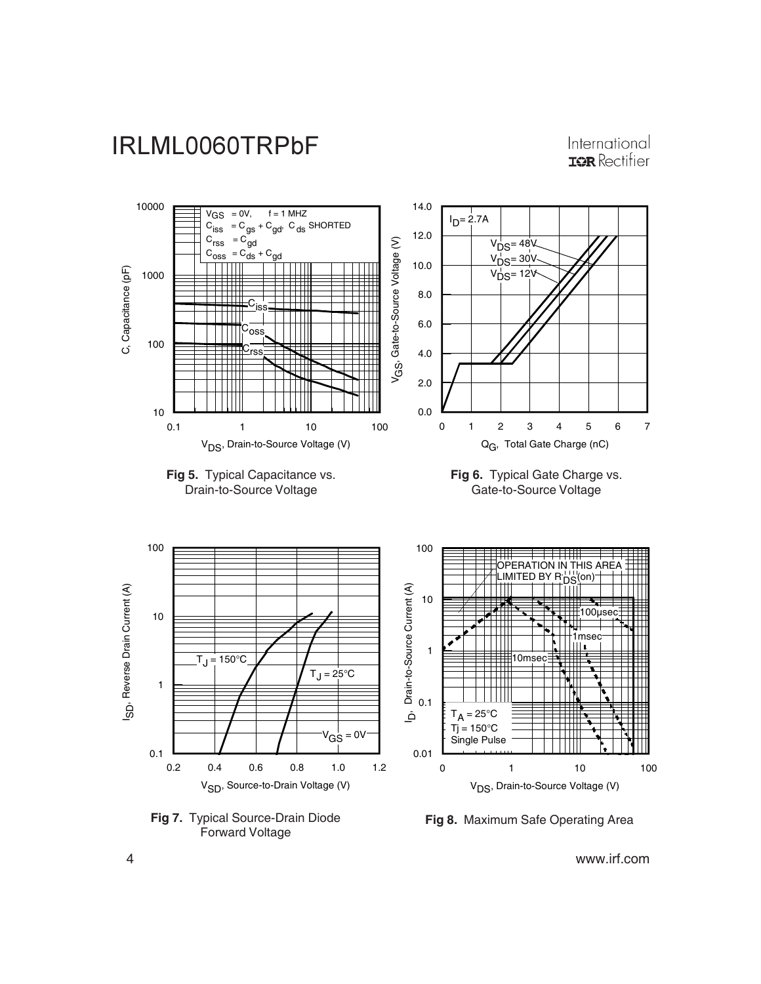

International **IOR** Rectifier



**Fig 7.** Typical Source-Drain Diode **Fig 8.** Maximum Safe Operating Area

4 www.irf.com

Forward Voltage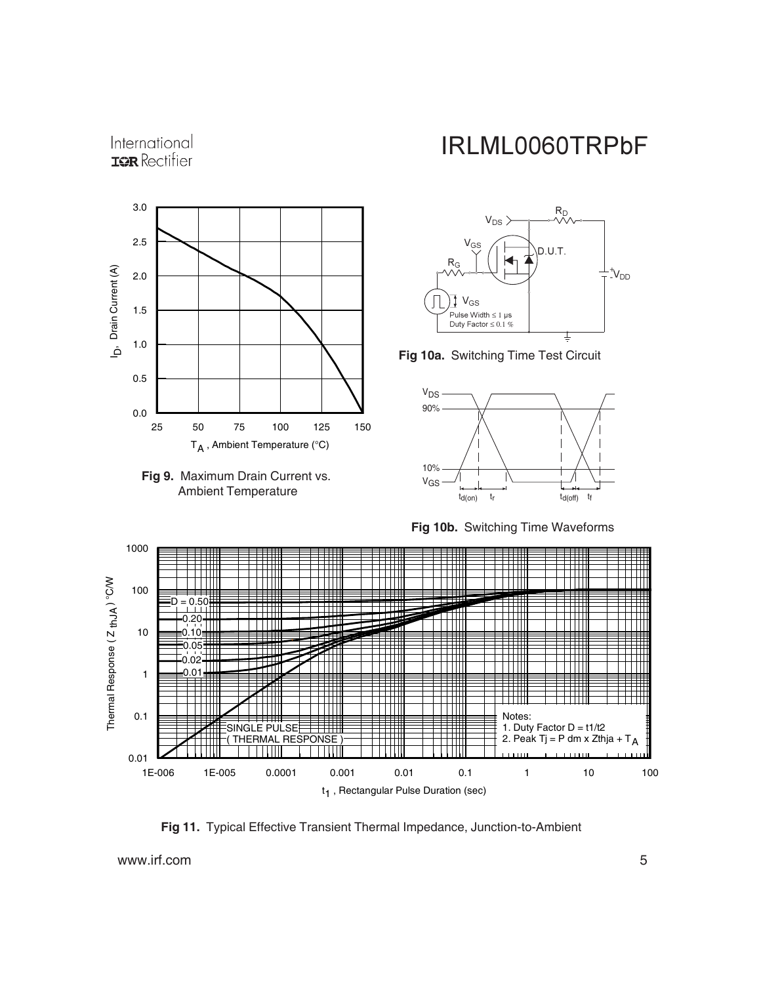







**Fig 10a.** Switching Time Test Circuit



**Fig 10b.** Switching Time Waveforms



**Fig 11.** Typical Effective Transient Thermal Impedance, Junction-to-Ambient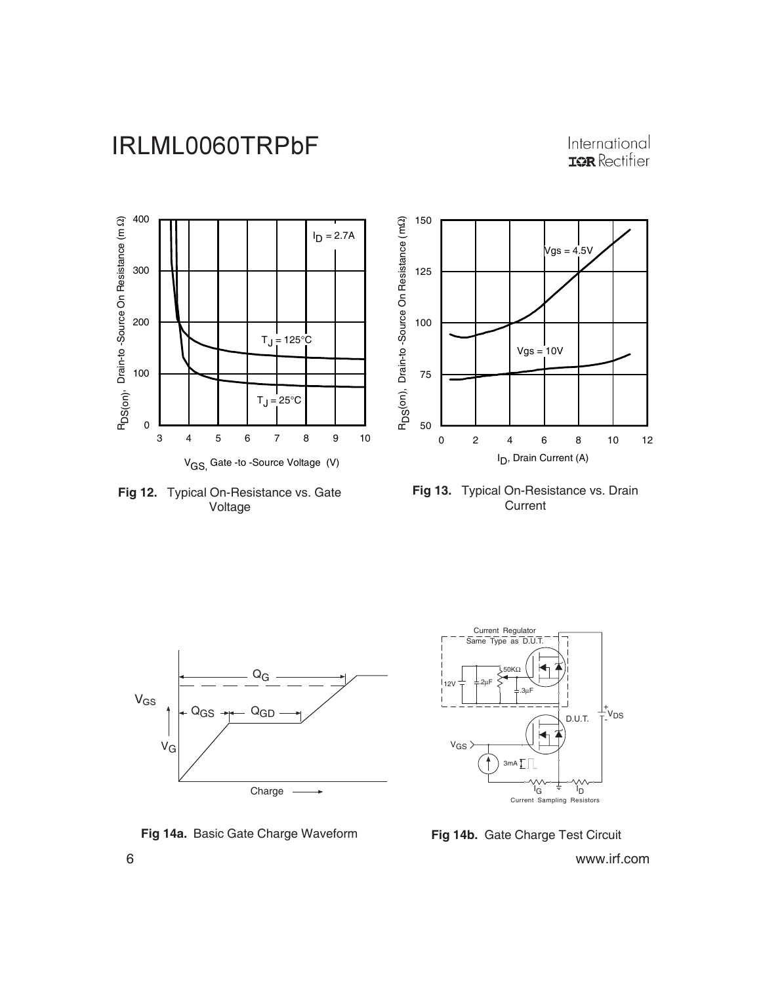International<br> **IGR** Rectifier



**Fig 12.** Typical On-Resistance vs. Gate Voltage







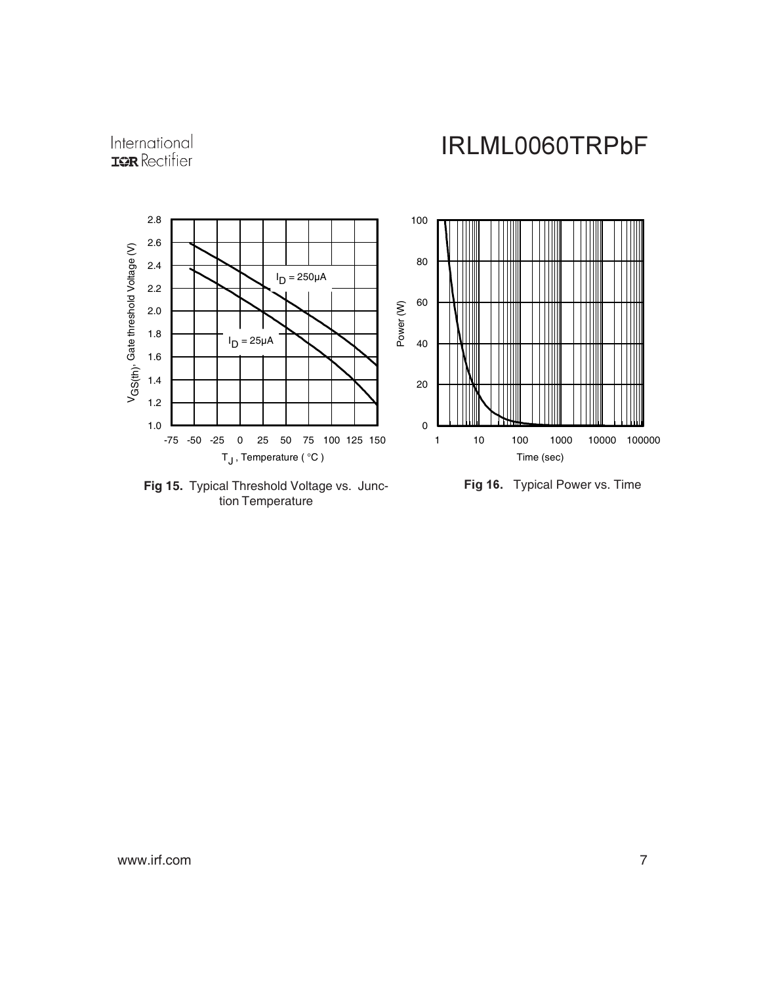



**Fig 15.** Typical Threshold Voltage vs. Junction Temperature

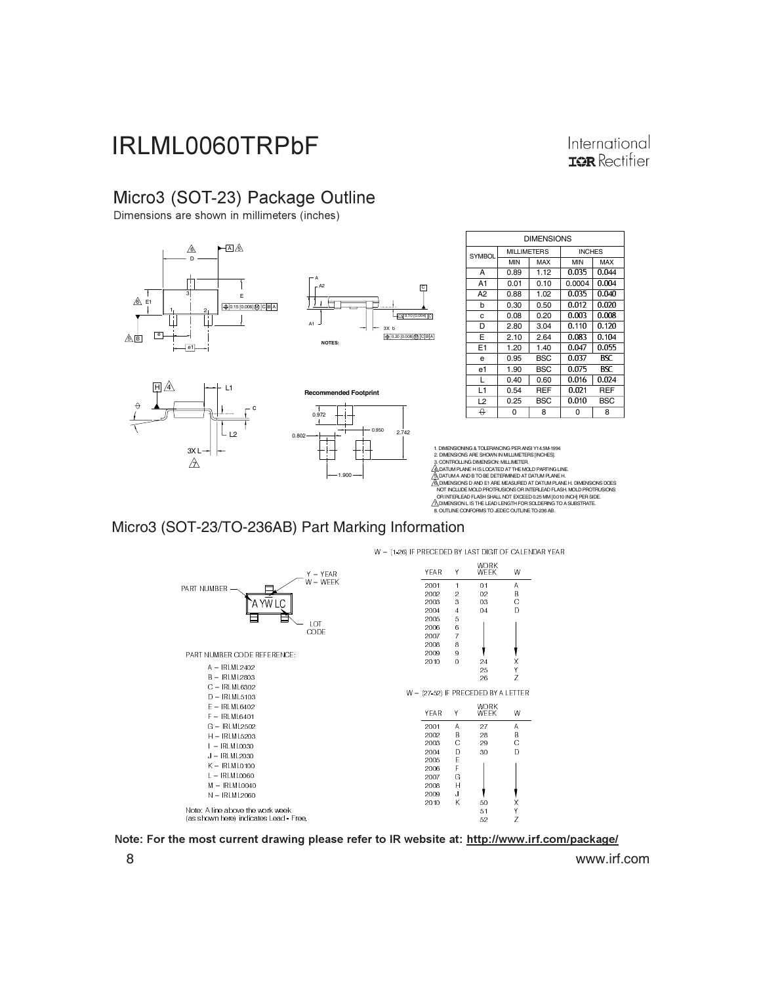#### International **ISR** Rectifier

**BSC** 

REF

 $0.055$ 

04

 $0.040$ 

4

 $0.020$ 

### Micro3 (SOT-23) Package Outline

Dimensions are shown in millimeters (inches)



NOT INCLUDE MOLD PROTRUSIONS OR INTERLEAD FLASH. MOLD PROTRUSIONS<br>, OR INTERLEAD FLASH SHALL NOT EXCEED Q25 MM [0.0.10 INCH] PER SIDE.<br>20 DIMENSION L IS THE LEAD LENGTH FOR SOLDERING TO A SUBSTRATE.<br>8. OUTLINE CONFORMS TO

#### Micro3 (SOT-23/TO-236AB) Part Marking Information

W = (1-26) IF PRECEDED BY LAST DIGIT OF CALENDAR YEAR



Note: For the most current drawing please refer to IR website at: <u>http://www.irf.com/package/</u>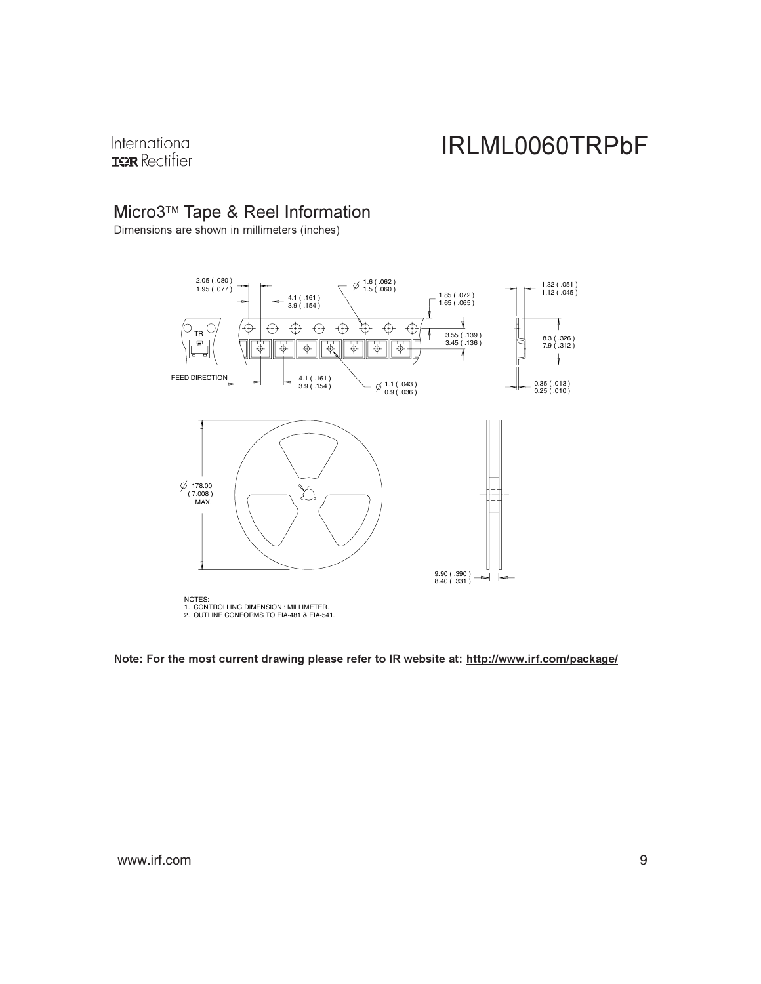International **IQR** Rectifier

### Micro3™ Tape & Reel Information

Dimensions are shown in millimeters (inches)



Note: For the most current drawing please refer to IR website at: <u>http://www.irf.com/package/</u>